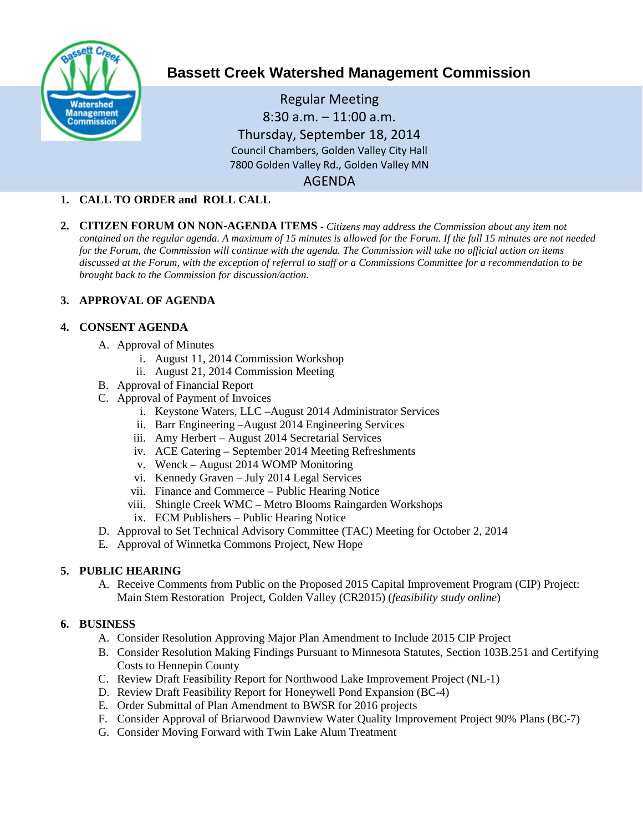

# **Bassett Creek Watershed Management Commission**

Regular Meeting 8:30 a.m. – 11:00 a.m. Thursday, September 18, 2014 Council Chambers, Golden Valley City Hall 7800 Golden Valley Rd., Golden Valley MN AGENDA

## **1. CALL TO ORDER and ROLL CALL**

**2. CITIZEN FORUM ON NON-AGENDA ITEMS -** *Citizens may address the Commission about any item not contained on the regular agenda. A maximum of 15 minutes is allowed for the Forum. If the full 15 minutes are not needed for the Forum, the Commission will continue with the agenda. The Commission will take no official action on items discussed at the Forum, with the exception of referral to staff or a Commissions Committee for a recommendation to be brought back to the Commission for discussion/action.*

#### **3. APPROVAL OF AGENDA**

#### **4. CONSENT AGENDA**

- A. Approval of Minutes
	- i. August 11, 2014 Commission Workshop
	- ii. August 21, 2014 Commission Meeting
- B. Approval of Financial Report
- C. Approval of Payment of Invoices
	- i. Keystone Waters, LLC –August 2014 Administrator Services
	- ii. Barr Engineering –August 2014 Engineering Services
	- iii. Amy Herbert August 2014 Secretarial Services
	- iv. ACE Catering September 2014 Meeting Refreshments
	- v. Wenck August 2014 WOMP Monitoring
	- vi. Kennedy Graven July 2014 Legal Services
	- vii. Finance and Commerce Public Hearing Notice
	- viii. Shingle Creek WMC Metro Blooms Raingarden Workshops
	- ix. ECM Publishers Public Hearing Notice
- D. Approval to Set Technical Advisory Committee (TAC) Meeting for October 2, 2014
- E. Approval of Winnetka Commons Project, New Hope

## **5. PUBLIC HEARING**

A. Receive Comments from Public on the Proposed 2015 Capital Improvement Program (CIP) Project: Main Stem Restoration Project, Golden Valley (CR2015) (*feasibility study online*)

## **6. BUSINESS**

- A. Consider Resolution Approving Major Plan Amendment to Include 2015 CIP Project
- B. Consider Resolution Making Findings Pursuant to Minnesota Statutes, Section 103B.251 and Certifying Costs to Hennepin County
- C. Review Draft Feasibility Report for Northwood Lake Improvement Project (NL-1)
- D. Review Draft Feasibility Report for Honeywell Pond Expansion (BC-4)
- E. Order Submittal of Plan Amendment to BWSR for 2016 projects
- F. Consider Approval of Briarwood Dawnview Water Quality Improvement Project 90% Plans (BC-7)
- G. Consider Moving Forward with Twin Lake Alum Treatment